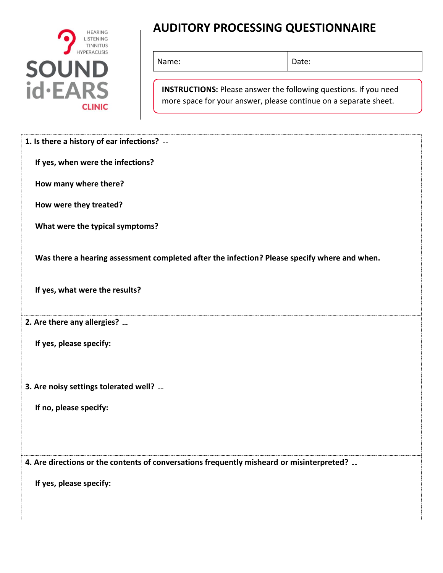

## **AUDITORY PROCESSING QUESTIONNAIRE**

Name: Date:

**INSTRUCTIONS:** Please answer the following questions. If you need more space for your answer, please continue on a separate sheet.

|                                | 1. Is there a history of ear infections? --                                                  |
|--------------------------------|----------------------------------------------------------------------------------------------|
|                                | If yes, when were the infections?                                                            |
| How many where there?          |                                                                                              |
| How were they treated?         |                                                                                              |
|                                | What were the typical symptoms?                                                              |
|                                | Was there a hearing assessment completed after the infection? Please specify where and when. |
| If yes, what were the results? |                                                                                              |
| 2. Are there any allergies?    |                                                                                              |
| If yes, please specify:        |                                                                                              |
|                                | 3. Are noisy settings tolerated well? __                                                     |
| If no, please specify:         |                                                                                              |
|                                | 4. Are directions or the contents of conversations frequently misheard or misinterpreted?    |
| If yes, please specify:        |                                                                                              |
|                                |                                                                                              |